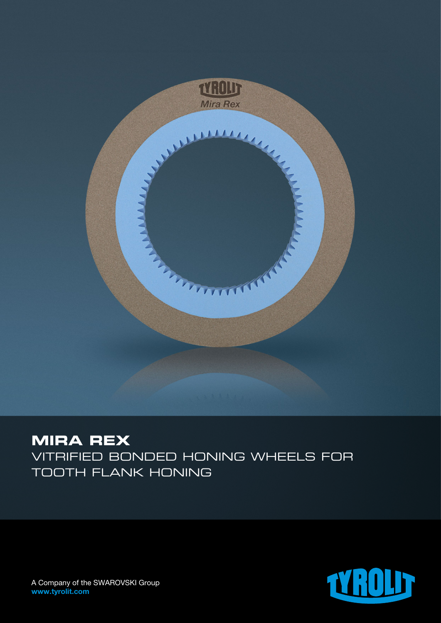

# **MIRA REX**

Vitrified bonded honing wheels for tooth flank honing



A Company of the SWAROVSKI Group www.tyrolit.com